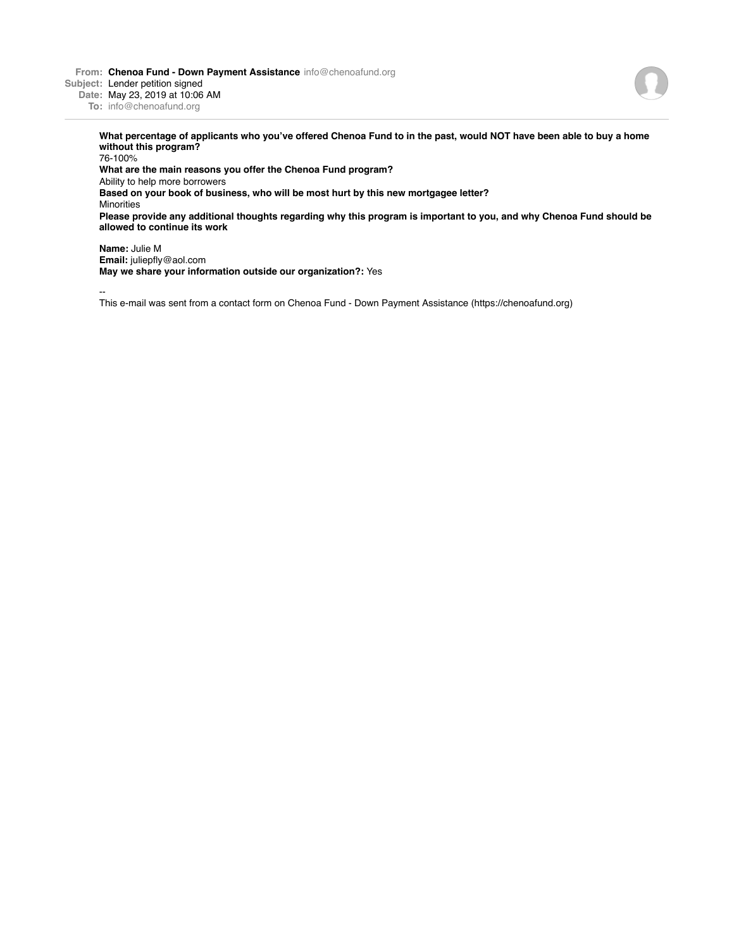**From: Chenoa Fund - Down Payment Assistance** info@chenoafund.org **Subject:** Lender petition signed



**What percentage of applicants who you've offered Chenoa Fund to in the past, would NOT have been able to buy a home without this program?**

76-100% **What are the main reasons you offer the Chenoa Fund program?** Ability to help more borrowers **Based on your book of business, who will be most hurt by this new mortgagee letter?** Minorities **Please provide any additional thoughts regarding why this program is important to you, and why Chenoa Fund should be allowed to continue its work Name:** Julie M

**Email:** juliepfly@aol.com **May we share your information outside our organization?:** Yes

--

This e-mail was sent from a contact form on Chenoa Fund - Down Payment Assistance (https://chenoafund.org)